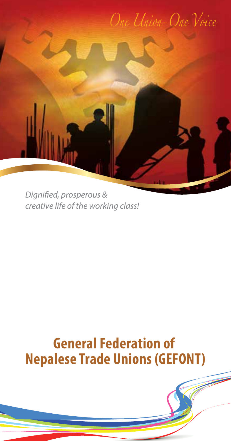

*Dignified, prosperous & creative life of the working class!*

# **General Federation of Nepalese Trade Unions (GEFONT)**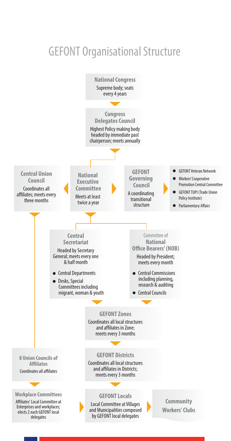## GEFONT Organisational Structure

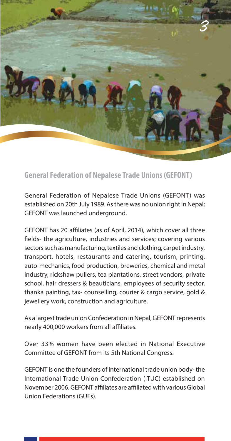

**General Federation of Nepalese Trade Unions (GEFONT)**

General Federation of Nepalese Trade Unions (GEFONT) was established on 20th July 1989. As there was no union right in Nepal; GEFONT was launched underground.

GEFONT has 20 affiliates (as of April, 2014), which cover all three fields- the agriculture, industries and services; covering various sectors such as manufacturing, textiles and clothing, carpet industry, transport, hotels, restaurants and catering, tourism, printing, auto-mechanics, food production, breweries, chemical and metal industry, rickshaw pullers, tea plantations, street vendors, private school, hair dressers & beauticians, employees of security sector, thanka painting, tax- counselling, courier & cargo service, gold & jewellery work, construction and agriculture.

As a largest trade union Confederation in Nepal, GEFONT represents nearly 400,000 workers from all affiliates.

Over 33% women have been elected in National Executive Committee of GEFONT from its 5th National Congress.

GEFONT is one the founders of international trade union body- the International Trade Union Confederation (ITUC) established on November 2006. GEFONT affiliates are affiliated with various Global Union Federations (GUFs).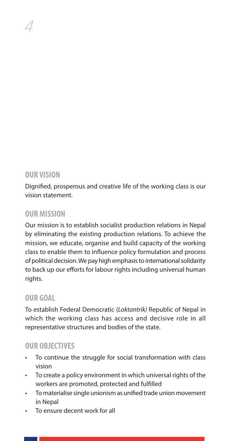#### **OUR VISION**

4

Dignified, prosperous and creative life of the working class is our vision statement.

#### **OUR MISSION**

Our mission is to establish socialist production relations in Nepal by eliminating the existing production relations. To achieve the mission, we educate, organise and build capacity of the working class to enable them to influence policy formulation and process of political decision. We pay high emphasis to international solidarity to back up our efforts for labour rights including universal human rights.

## **OUR GOAL**

To establish Federal Democratic (*Loktantrik)* Republic of Nepal in which the working class has access and decisive role in all representative structures and bodies of the state.

## **OUR OBJECTIVES**

- To continue the struggle for social transformation with class vision
- To create a policy environment in which universal rights of the workers are promoted, protected and fulfilled
- To materialise single unionism as unified trade union movement in Nepal
- To ensure decent work for all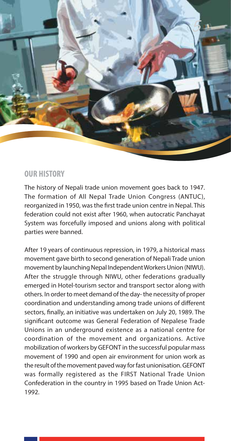

#### **OUR HISTORY**

The history of Nepali trade union movement goes back to 1947. The formation of All Nepal Trade Union Congress (ANTUC), reorganized in 1950, was the first trade union centre in Nepal. This federation could not exist after 1960, when autocratic Panchayat System was forcefully imposed and unions along with political parties were banned.

After 19 years of continuous repression, in 1979, a historical mass movement gave birth to second generation of Nepali Trade union movement by launching Nepal Independent Workers Union (NIWU). After the struggle through NIWU, other federations gradually emerged in Hotel-tourism sector and transport sector along with others. In order to meet demand of the day- the necessity of proper coordination and understanding among trade unions of different sectors, finally, an initiative was undertaken on July 20, 1989. The significant outcome was General Federation of Nepalese Trade Unions in an underground existence as a national centre for coordination of the movement and organizations. Active mobilization of workers by GEFONT in the successful popular mass movement of 1990 and open air environment for union work as the result of the movement paved way for fast unionisation. GEFONT was formally registered as the FIRST National Trade Union Confederation in the country in 1995 based on Trade Union Act-1992.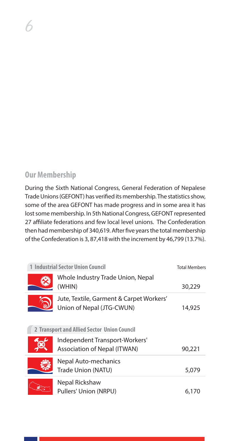## **Our Membership**

6

During the Sixth National Congress, General Federation of Nepalese Trade Unions (GEFONT) has verified its membership. The statistics show, some of the area GEFONT has made progress and in some area it has lost some membership. In 5th National Congress, GEFONT represented 27 affiliate federations and few local level unions. The Confederation then had membership of 340,619. After five years the total membership of the Confederation is 3, 87,418 with the increment by 46,799 (13.7%).

| <b>Industrial Sector Union Council</b> |                                                                       | <b>Total Members</b> |
|----------------------------------------|-----------------------------------------------------------------------|----------------------|
|                                        | Whole Industry Trade Union, Nepal<br>(WHIN)                           | 30,229               |
|                                        | Jute, Textile, Garment & Carpet Workers'<br>Union of Nepal (JTG-CWUN) | 14,925               |
|                                        | 2 Transport and Allied Sector Union Council                           |                      |
|                                        | Independent Transport-Workers'<br>Association of Nepal (ITWAN)        | 90,221               |
|                                        | Nepal Auto-mechanics<br>Trade Union (NATU)                            | 5,079                |
|                                        | Nepal Rickshaw<br>Pullers' Union (NRPU)                               | 6.170                |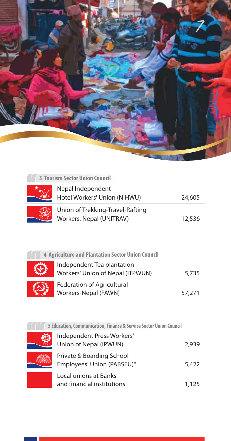

| <b>3 Tourism Sector Union Council</b>                              |        |
|--------------------------------------------------------------------|--------|
| Nepal Independent<br>Hotel Workers' Union (NIHWU)                  | 24,605 |
| Union of Trekking-Travel-Rafting<br>Workers, Nepal (UNITRAV)       | 12,536 |
| 4 Agriculture and Plantation Sector Union Council                  |        |
| Independent Tea plantation<br>Workers' Union of Nepal (ITPWUN)     | 5,735  |
| <b>Federation of Agricultural</b><br>Workers-Nepal (FAWN)          | 57,271 |
| 5 Education, Communication, Finance & Service Sector Union Council |        |
| Independent Press Workers'<br>Union of Nepal (IPWUN)               | 2,939  |
| Private & Boarding School<br>Employees' Union (PABSEU)*            | 5,422  |
| Local unions at Banks                                              |        |

| independent Press workers<br>Union of Nepal (IPWUN)     | 2,939 |
|---------------------------------------------------------|-------|
| Private & Boarding School<br>Employees' Union (PABSEU)* | 5,422 |
| Local unions at Banks<br>and financial institutions     | 1.125 |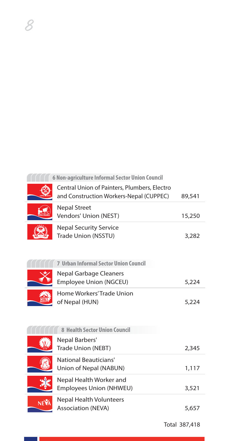|     | 6 Non-agriculture Informal Sector Union Council                                         |        |
|-----|-----------------------------------------------------------------------------------------|--------|
|     | Central Union of Painters, Plumbers, Electro<br>and Construction Workers-Nepal (CUPPEC) | 89,541 |
|     | <b>Nepal Street</b><br>Vendors' Union (NEST)                                            | 15,250 |
|     | <b>Nepal Security Service</b><br>Trade Union (NSSTU)                                    | 3,282  |
|     | <b>7 Urban Informal Sector Union Council</b>                                            |        |
|     | Nepal Garbage Cleaners<br>Employee Union (NGCEU)                                        | 5,224  |
|     | Home Workers' Trade Union<br>of Nepal (HUN)                                             | 5,224  |
|     | 8 Health Sector Union Council                                                           |        |
|     | Nepal Barbers'<br>Trade Union (NEBT)                                                    | 2,345  |
|     | National Beauticians'<br>Union of Nepal (NABUN)                                         | 1,117  |
|     | Nepal Health Worker and<br>Employees Union (NHWEU)                                      | 3,521  |
| NEV | <b>Nepal Health Volunteers</b><br><b>Association (NEVA)</b>                             | 5,657  |

8

٦

Total 387,418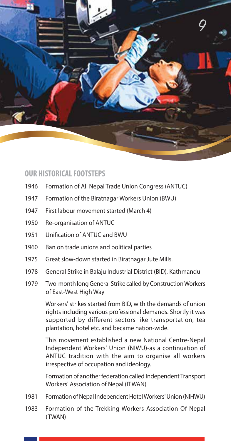

#### **OUR HISTORICAL FOOTSTEPS**

- 1946 Formation of All Nepal Trade Union Congress (ANTUC)
- 1947 Formation of the Biratnagar Workers Union (BWU)
- 1947 First labour movement started (March 4)
- 1950 Re-organisation of ANTUC
- 1951 Unification of ANTUC and BWU
- 1960 Ban on trade unions and political parties
- 1975 Great slow-down started in Biratnagar Jute Mills.
- 1978 General Strike in Balaju Industrial District (BID), Kathmandu
- 1979 Two-month long General Strike called by Construction Workers of East-West High Way

 Workers' strikes started from BID, with the demands of union rights including various professional demands. Shortly it was supported by different sectors like transportation, tea plantation, hotel etc. and became nation-wide.

 This movement established a new National Centre-Nepal Independent Workers' Union (NIWU)-as a continuation of ANTUC tradition with the aim to organise all workers irrespective of occupation and ideology.

 Formation of another federation called Independent Transport Workers' Association of Nepal (ITWAN)

- 1981 Formation of Nepal Independent Hotel Workers' Union (NIHWU)
- 1983 Formation of the Trekking Workers Association Of Nepal (TWAN)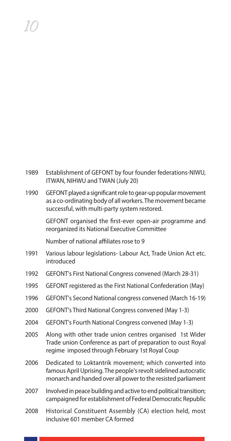| 1989 | Establishment of GEFONT by four founder federations-NIWU,<br>ITWAN, NIHWU and TWAN (July 20)                                                                                 |
|------|------------------------------------------------------------------------------------------------------------------------------------------------------------------------------|
| 1990 | GEFONT played a significant role to gear-up popular movement<br>as a co-ordinating body of all workers. The movement became<br>successful, with multi-party system restored. |
|      | GEFONT organised the first-ever open-air programme and<br>reorganized its National Executive Committee                                                                       |
|      | Number of national affiliates rose to 9                                                                                                                                      |
| 1991 | Various labour legislations- Labour Act, Trade Union Act etc.<br>introduced                                                                                                  |
| 1992 | GEFONT's First National Congress convened (March 28-31)                                                                                                                      |
| 1995 | GEFONT registered as the First National Confederation (May)                                                                                                                  |
| 1996 | GEFONT's Second National congress convened (March 16-19)                                                                                                                     |
| 2000 | <b>GEFONT's Third National Congress convened (May 1-3)</b>                                                                                                                   |
| 2004 | GEFONT's Fourth National Congress convened (May 1-3)                                                                                                                         |

- 2005 Along with other trade union centres organised 1st Wider Trade union Conference as part of preparation to oust Royal regime imposed through February 1st Royal Coup
- 2006 Dedicated to Loktantrik movement; which converted into famous April Uprising. The people's revolt sidelined autocratic monarch and handed over all power to the resisted parliament
- 2007 Involved in peace building and active to end political transition; campaigned for establishment of Federal Democratic Republic
- 2008 Historical Constituent Assembly (CA) election held, most inclusive 601 member CA formed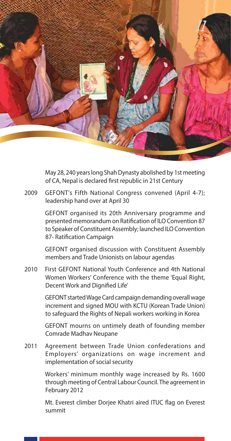

 May 28, 240 years long Shah Dynasty abolished by 1st meeting of CA, Nepal is declared first republic in 21st Century

2009 GEFONT's Fifth National Congress convened (April 4-7); leadership hand over at April 30

> GEFONT organised its 20th Anniversary programme and presented memorandum on Ratification of ILO Convention 87 to Speaker of Constituent Assembly; launched ILO Convention 87- Ratification Campaign

> GEFONT organised discussion with Constituent Assembly members and Trade Unionists on labour agendas

2010 First GEFONT National Youth Conference and 4th National Women Workers' Conference with the theme 'Equal Right, Decent Work and Dignified Life'

> GEFONT started Wage Card campaign demanding overall wage increment and signed MOU with KCTU (Korean Trade Union) to safeguard the Rights of Nepali workers working in Korea

> GEFONT mourns on untimely death of founding member Comrade Madhav Neupane

2011 Agreement between Trade Union confederations and Employers' organizations on wage increment and implementation of social security

> Workers' minimum monthly wage increased by Rs. 1600 through meeting of Central Labour Council. The agreement in February 2012

> Mt. Everest climber Doriee Khatri aired ITUC flag on Everest summit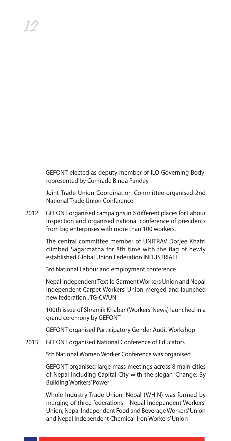GEFONT elected as deputy member of ILO Governing Body; represented by Comrade Binda Pandey

 Joint Trade Union Coordination Committee organised 2nd National Trade Union Conference

2012 GEFONT organised campaigns in 6 different places for Labour Inspection and organised national conference of presidents from big enterprises with more than 100 workers.

12

 The central committee member of UNITRAV Dorjee Khatri climbed Sagarmatha for 8th time with the flag of newly established Global Union Federation INDUSTRIALL

3rd National Labour and employment conference

 Nepal Independent Textile Garment Workers Union and Nepal Independent Carpet Workers' Union merged and launched new federation JTG-CWUN

 100th issue of Shramik Khabar (Workers' News) launched in a grand ceremony by GEFONT

GEFONT organised Participatory Gender Audit Workshop

2013 GEFONT organised National Conference of Educators

5th National Women Worker Conference was organised

 GEFONT organised large mass meetings across 8 main cities of Nepal including Capital City with the slogan 'Change: By Building Workers' Power'

 Whole Industry Trade Union, Nepal (WHIN) was formed by merging of three federations – Nepal Independent Workers' Union, Nepal Independent Food and Beverage Workers' Union and Nepal Independent Chemical-Iron Workers' Union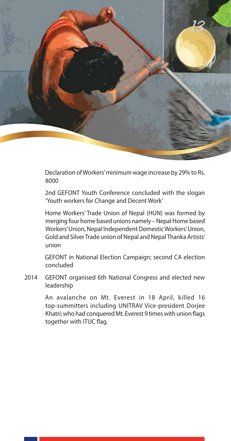

 Declaration of Workers' minimum wage increase by 29% to Rs. 8000

 2nd GEFONT Youth Conference concluded with the slogan 'Youth workers for Change and Decent Work'

 Home Workers' Trade Union of Nepal (HUN) was formed by merging four home based unions namely – Nepal Home based Workers' Union, Nepal Independent Domestic Workers' Union, Gold and Silver Trade union of Nepal and Nepal Thanka Artists' union

 GEFONT in National Election Campaign; second CA election concluded

2014 GEFONT organised 6th National Congress and elected new leadership

> An avalanche on Mt. Everest in 18 April, killed 16 top-summitters including UNITRAV Vice-president Dorjee Khatri; who had conquered Mt. Everest 9 times with union flags together with ITUC flag.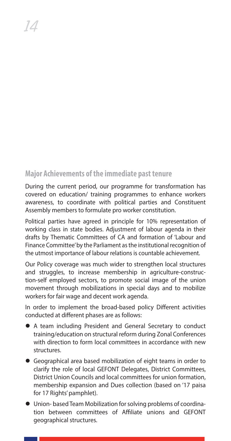## **Major Achievements of the immediate past tenure**

During the current period, our programme for transformation has covered on education/ training programmes to enhance workers awareness, to coordinate with political parties and Constituent Assembly members to formulate pro worker constitution.

Political parties have agreed in principle for 10% representation of working class in state bodies. Adjustment of labour agenda in their drafts by Thematic Committees of CA and formation of 'Labour and Finance Committee' by the Parliament as the institutional recognition of the utmost importance of labour relations is countable achievement.

Our Policy coverage was much wider to strengthen local structures and struggles, to increase membership in agriculture-construction-self employed sectors, to promote social image of the union movement through mobilizations in special days and to mobilize workers for fair wage and decent work agenda.

In order to implement the broad-based policy Different activities conducted at different phases are as follows:

- A team including President and General Secretary to conduct training/education on structural reform during Zonal Conferences with direction to form local committees in accordance with new structures.
- **•** Geographical area based mobilization of eight teams in order to clarify the role of local GEFONT Delegates, District Committees, District Union Councils and local committees for union formation, membership expansion and Dues collection (based on '17 paisa for 17 Rights' pamphlet).
- $\bullet$  Union-based Team Mobilization for solving problems of coordination between committees of Affiliate unions and GEFONT geographical structures.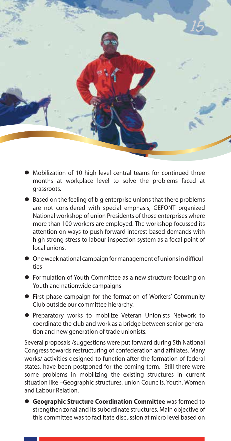

- $\bullet$  Mobilization of 10 high level central teams for continued three months at workplace level to solve the problems faced at grassroots.
- Based on the feeling of big enterprise unions that there problems are not considered with special emphasis, GEFONT organized National workshop of union Presidents of those enterprises where more than 100 workers are employed. The workshop focussed its attention on ways to push forward interest based demands with high strong stress to labour inspection system as a focal point of local unions.
- $\bullet$  One week national campaign for management of unions in difficulties
- **•** Formulation of Youth Committee as a new structure focusing on Youth and nationwide campaigns
- **•** First phase campaign for the formation of Workers' Community Club outside our committee hierarchy.
- **•** Preparatory works to mobilize Veteran Unionists Network to coordinate the club and work as a bridge between senior generation and new generation of trade unionists.

Several proposals /suggestions were put forward during 5th National Congress towards restructuring of confederation and affiliates. Many works/ activities designed to function after the formation of federal states, have been postponed for the coming term. Still there were some problems in mobilizing the existing structures in current situation like –Geographic structures, union Councils, Youth, Women and Labour Relation.

**• Geographic Structure Coordination Committee** was formed to strengthen zonal and its subordinate structures. Main objective of this committee was to facilitate discussion at micro level based on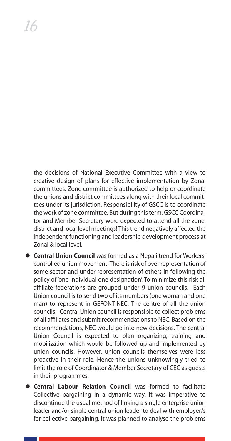the decisions of National Executive Committee with a view to creative design of plans for effective implementation by Zonal committees. Zone committee is authorized to help or coordinate the unions and district committees along with their local committees under its jurisdiction. Responsibility of GSCC is to coordinate the work of zone committee. But during this term, GSCC Coordinator and Member Secretary were expected to attend all the zone, district and local level meetings! This trend negatively affected the independent functioning and leadership development process at Zonal & local level.

- **Central Union Council** was formed as a Nepali trend for Workers' controlled union movement. There is risk of over representation of some sector and under representation of others in following the policy of 'one individual one designation'. To minimize this risk all affiliate federations are grouped under 9 union councils. Each Union council is to send two of its members (one woman and one man) to represent in GEFONT-NEC. The centre of all the union councils - Central Union council is responsible to collect problems of all affiliates and submit recommendations to NEC. Based on the recommendations, NEC would go into new decisions. The central Union Council is expected to plan organizing, training and mobilization which would be followed up and implemented by union councils. However, union councils themselves were less proactive in their role. Hence the unions unknowingly tried to limit the role of Coordinator & Member Secretary of CEC as guests in their programmes.
- **Central Labour Relation Council** was formed to facilitate Collective bargaining in a dynamic way. It was imperative to discontinue the usual method of linking a single enterprise union leader and/or single central union leader to deal with employer/s for collective bargaining. It was planned to analyse the problems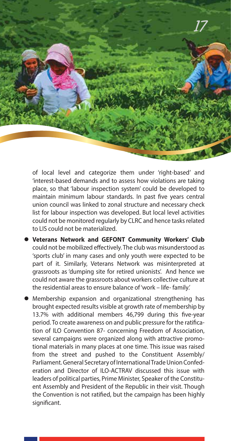

of local level and categorize them under 'right-based' and 'interest-based demands and to assess how violations are taking place, so that 'labour inspection system' could be developed to maintain minimum labour standards. In past five years central union council was linked to zonal structure and necessary check list for labour inspection was developed. But local level activities could not be monitored regularly by CLRC and hence tasks related to LIS could not be materialized.

- l **Veterans Network and GEFONT Community Workers' Club**  could not be mobilized effectively. The club was misunderstood as 'sports club' in many cases and only youth were expected to be part of it. Similarly, Veterans Network was misinterpreted at grassroots as 'dumping site for retired unionists'. And hence we could not aware the grassroots about workers collective culture at the residential areas to ensure balance of 'work – life- family.'
- l Membership expansion and organizational strengthening has brought expected results visible at growth rate of membership by 13.7% with additional members 46.799 during this five-year period. To create awareness on and public pressure for the ratification of ILO Convention 87- concerning Freedom of Association, several campaigns were organized along with attractive promotional materials in many places at one time. This issue was raised from the street and pushed to the Constituent Assembly/ Parliament. General Secretary of International Trade Union Confederation and Director of ILO-ACTRAV discussed this issue with leaders of political parties, Prime Minister, Speaker of the Constituent Assembly and President of the Republic in their visit. Though the Convention is not ratified, but the campaign has been highly significant.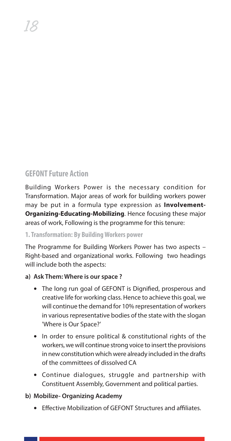## **GEFONT Future Action**

Building Workers Power is the necessary condition for Transformation. Major areas of work for building workers power may be put in a formula type expression as **Involvement-Organizing-Educating-Mobilizing**. Hence focusing these major areas of work, Following is the programme for this tenure:

#### **1. Transformation: By Building Workers power**

The Programme for Building Workers Power has two aspects – Right-based and organizational works. Following two headings will include both the aspects:

#### **a) Ask Them: Where is our space ?**

- The long run goal of GEFONT is Dignified, prosperous and creative life for working class. Hence to achieve this goal, we will continue the demand for 10% representation of workers in various representative bodies of the state with the slogan 'Where is Our Space?'
- **•** In order to ensure political & constitutional rights of the workers, we will continue strong voice to insert the provisions in new constitution which were already included in the drafts of the committees of dissolved CA
- **•** Continue dialogues, struggle and partnership with Constituent Assembly, Government and political parties.

#### **b) Mobilize- Organizing Academy**

• Effective Mobilization of GEFONT Structures and affiliates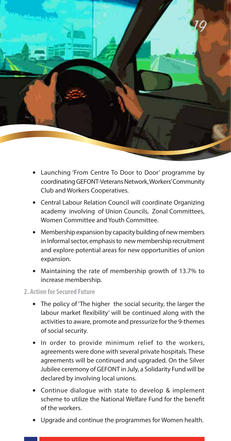

- **•** Launching 'From Centre To Door to Door' programme by coordinating GEFONT-Veterans Network, Workers' Community Club and Workers Cooperatives.
- **•** Central Labour Relation Council will coordinate Organizing academy involving of Union Councils, Zonal Committees, Women Committee and Youth Committee.
- **•** Membership expansion by capacity building of new members in Informal sector, emphasis to new membership recruitment and explore potential areas for new opportunities of union expansion.
- **•** Maintaining the rate of membership growth of 13.7% to increase membership.

#### **2. Action for Secured Future**

- **•** The policy of 'The higher the social security, the larger the labour market flexibility' will be continued along with the activities to aware, promote and pressurize for the 9-themes of social security.
- **•** In order to provide minimum relief to the workers, agreements were done with several private hospitals. These agreements will be continued and upgraded. On the Silver Jubilee ceremony of GEFONT in July, a Solidarity Fund will be declared by involving local unions.
- **•** Continue dialogue with state to develop & implement scheme to utilize the National Welfare Fund for the benefit of the workers.
- **•** Upgrade and continue the programmes for Women health.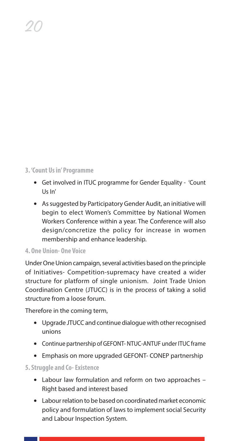#### **3. 'Count Us in' Programme**

20

- **•** Get involved in ITUC programme for Gender Equality 'Count Us In'
- **•** As suggested by Participatory Gender Audit, an initiative will begin to elect Women's Committee by National Women Workers Conference within a year. The Conference will also design/concretize the policy for increase in women membership and enhance leadership.

#### **4. One Union- One Voice**

Under One Union campaign, several activities based on the principle of Initiatives- Competition-supremacy have created a wider structure for platform of single unionism. Joint Trade Union Coordination Centre (JTUCC) is in the process of taking a solid structure from a loose forum.

Therefore in the coming term,

- **•** Upgrade JTUCC and continue dialogue with other recognised unions
- **•** Continue partnership of GEFONT- NTUC-ANTUF under ITUC frame
- **•** Emphasis on more upgraded GEFONT- CONEP partnership

#### **5. Struggle and Co- Existence**

- **•** Labour law formulation and reform on two approaches Right based and interest based
- **•** Labour relation to be based on coordinated market economic policy and formulation of laws to implement social Security and Labour Inspection System.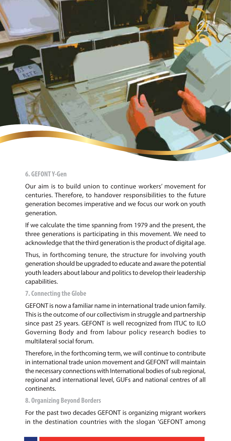

#### **6. GEFONT Y-Gen**

Our aim is to build union to continue workers' movement for centuries. Therefore, to handover responsibilities to the future generation becomes imperative and we focus our work on youth generation.

If we calculate the time spanning from 1979 and the present, the three generations is participating in this movement. We need to acknowledge that the third generation is the product of digital age.

Thus, in forthcoming tenure, the structure for involving youth generation should be upgraded to educate and aware the potential youth leaders about labour and politics to develop their leadership capabilities.

#### **7. Connecting the Globe**

GEFONT is now a familiar name in international trade union family. This is the outcome of our collectivism in struggle and partnership since past 25 years. GEFONT is well recognized from ITUC to ILO Governing Body and from labour policy research bodies to multilateral social forum.

Therefore, in the forthcoming term, we will continue to contribute in international trade union movement and GEFONT will maintain the necessary connections with International bodies of sub regional, regional and international level, GUFs and national centres of all continents.

#### **8. Organizing Beyond Borders**

For the past two decades GEFONT is organizing migrant workers in the destination countries with the slogan 'GEFONT among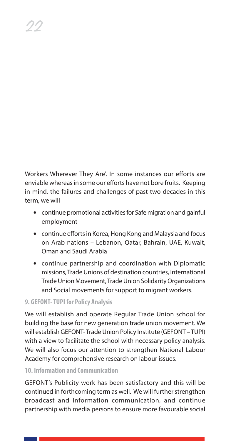Workers Wherever They Are'. In some instances our efforts are enviable whereas in some our efforts have not bore fruits. Keeping in mind, the failures and challenges of past two decades in this term, we will

- **•** continue promotional activities for Safe migration and gainful employment
- continue efforts in Korea, Hong Kong and Malaysia and focus on Arab nations – Lebanon, Qatar, Bahrain, UAE, Kuwait, Oman and Saudi Arabia
- **•** continue partnership and coordination with Diplomatic missions, Trade Unions of destination countries, International Trade Union Movement, Trade Union Solidarity Organizations and Social movements for support to migrant workers.

#### **9. GEFONT- TUPI for Policy Analysis**

22

We will establish and operate Regular Trade Union school for building the base for new generation trade union movement. We will establish GEFONT- Trade Union Policy Institute (GEFONT – TUPI) with a view to facilitate the school with necessary policy analysis. We will also focus our attention to strengthen National Labour Academy for comprehensive research on labour issues.

#### **10. Information and Communication**

GEFONT's Publicity work has been satisfactory and this will be continued in forthcoming term as well. We will further strengthen broadcast and Information communication, and continue partnership with media persons to ensure more favourable social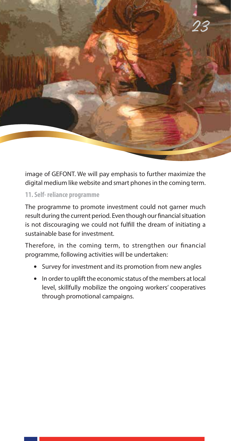

image of GEFONT. We will pay emphasis to further maximize the digital medium like website and smart phones in the coming term.

#### **11. Self- reliance programme**

The programme to promote investment could not garner much result during the current period. Even though our financial situation is not discouraging we could not fulfill the dream of initiating a sustainable base for investment.

Therefore, in the coming term, to strengthen our financial programme, following activities will be undertaken:

- **•** Survey for investment and its promotion from new angles
- **•** In order to uplift the economic status of the members at local level, skillfully mobilize the ongoing workers' cooperatives through promotional campaigns.